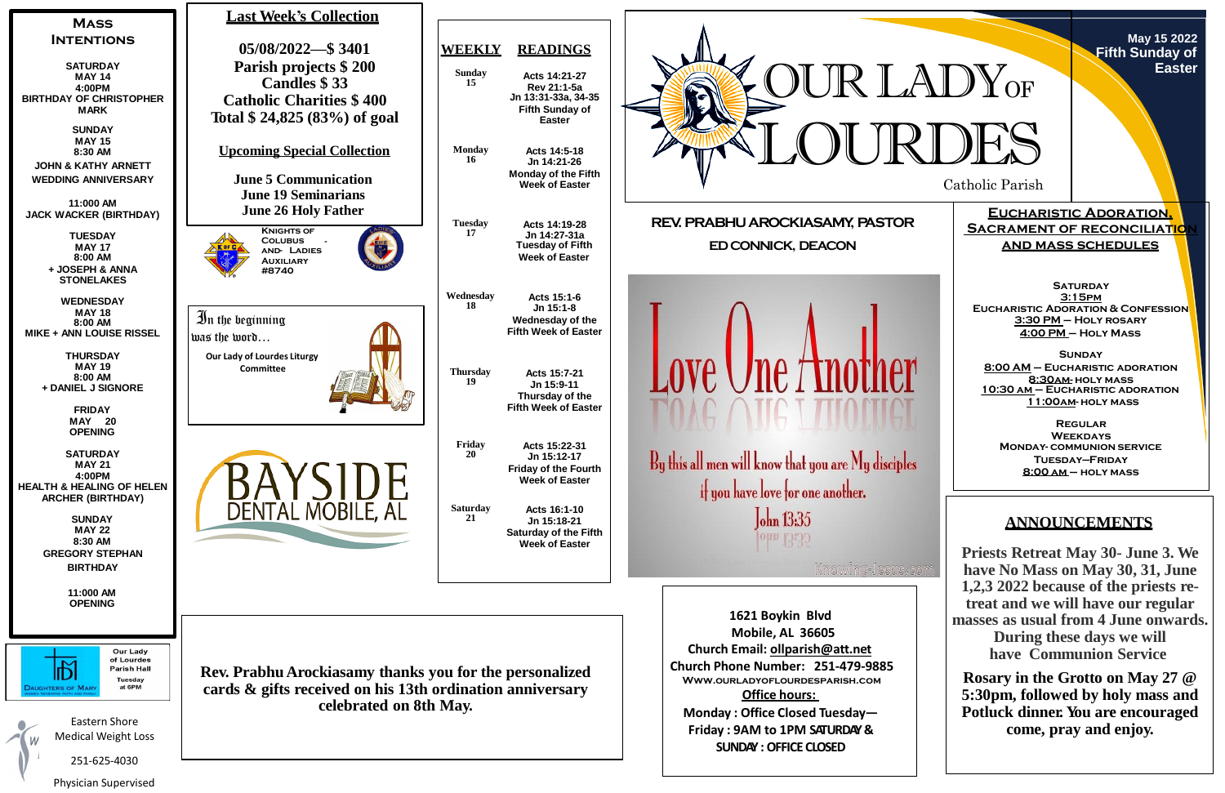

Catholic Parish

**May 15 2022 Fifth Sunday of Easter**

**Eucharistic Adoration, SACRAMENT OF RECONCILIATION and mass schedules**

**SATURDAY 3:15pm Eucharistic Adoration & Confession 3:30 PM – Holy rosary 4:00 PM – Holy Mass**

**Sunday 8:00 AM – Eucharistic adoration 8:30am- holy mass 10:30 am – Eucharistic adoration 11:00am- holy mass**

**Regular Weekdays Monday- communion service Tuesday—Friday 8:00 am – holy mass**



# **ANNOUNCEMENTS**

**Priests Retreat May 30- June 3. We have No Mass on May 30, 31, June 1,2,3 2022 because of the priests retreat and we will have our regular masses as usual from 4 June onwards. During these days we will have Communion Service**

**Rosary in the Grotto on May 27 @ 5:30pm, followed by holy mass and Potluck dinner. You are encouraged come, pray and enjoy.**

Physician Supervised